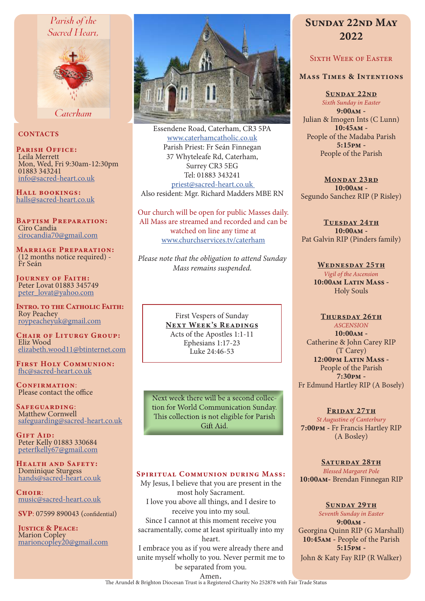# Parish of the



Caterham

# **CONTACTS**

PARISH OFFICE: Leila Merrett Mon, Wed, Fri 9:30am-12:30pm 01883 343241 info@sacred-heart.co.uk

Hall bookings: halls@sacred-heart.co.uk

Baptism Preparation: Ciro Candia cirocandia70@gmail.com

Marriage Preparation: (12 months notice required) - Fr Seán

Journey of Faith: Peter Lovat 01883 345749 peter\_lovat@yahoo.com

Intro. to the Catholic Faith: Roy Peachey roypeacheyuk@gmail.com

CHAIR OF LITURGY GROUP: Eliz Wood elizabeth.wood11@btinternet.com

First Holy Communion: fhc@sacred-heart.co.uk

CONFIRMATION: Please contact the office

Safeguarding: Matthew Cornwell safeguarding@sacred-heart.co.uk

GIFT AID: Peter Kelly 01883 330684 peterfkelly67@gmail.com

HEALTH AND SAFETY: Dominique Sturgess hands@sacred-heart.co.uk

CHOIR: music@sacred-heart.co.uk

SVP: 07599 890043 (confidential)

Justice & Peace: Marion Copley marioncopley20@gmail.com



Essendene Road, Caterham, CR3 5PA www.caterhamcatholic.co.uk Parish Priest: Fr Seán Finnegan 37 Whyteleafe Rd, Caterham, Surrey CR3 5EG Tel: 01883 343241 priest@sacred-heart.co.uk Also resident: Mgr. Richard Madders MBE RN

Our church will be open for public Masses daily. All Mass are streamed and recorded and can be watched on line any time at www.churchservices.tv/caterham

*Please note that the obligation to attend Sunday Mass remains suspended.*

> First Vespers of Sunday NEXT WEEK'S READINGS Acts of the Apostles 1:1-11 Ephesians 1:17-23 Luke 24:46-53

Next week there will be a second collection for World Communication Sunday. This collection is not eligible for Parish Gift Aid.

# Spiritual Communion during Mass:

My Jesus, I believe that you are present in the most holy Sacrament. I love you above all things, and I desire to receive you into my soul. Since I cannot at this moment receive you sacramentally, come at least spiritually into my heart.

I embrace you as if you were already there and unite myself wholly to you. Never permit me to be separated from you.

# SUNDAY 22ND MAY 2022

# SIXTH WEEK OF EASTER

#### Mass Times & Intentions

SUNDAY 22ND *Sixth Sunday in Easter*

9:00am - Julian & Imogen Ints (C Lunn) 10:45am - People of the Madaba Parish 5:15pm - People of the Parish

MONDAY 23RD 10:00am - Segundo Sanchez RIP (P Risley)

TUESDAY 24TH 10:00am - Pat Galvin RIP (Pinders family)

> WEDNESDAY 25TH *Vigil of the Ascension* 10:00am Latin Mass - Holy Souls

# THURSDAY 26TH

*ASCENSION* 10:00am - Catherine & John Carey RIP (T Carey) 12:00pm Latin Mass -People of the Parish 7:30pm - Fr Edmund Hartley RIP (A Bosely)

# FRIDAY 27TH

*St Augustine of Canterbury* 7:00pm - Fr Francis Hartley RIP (A Bosley)

SATURDAY 28TH *Blessed Margaret Pole* 10:00am- Brendan Finnegan RIP

#### SUNDAY 29TH

*Seventh Sunday in Easter* 9:00am - Georgina Quinn RIP (G Marshall) 10:45am - People of the Parish 5:15pm - John & Katy Fay RIP (R Walker)